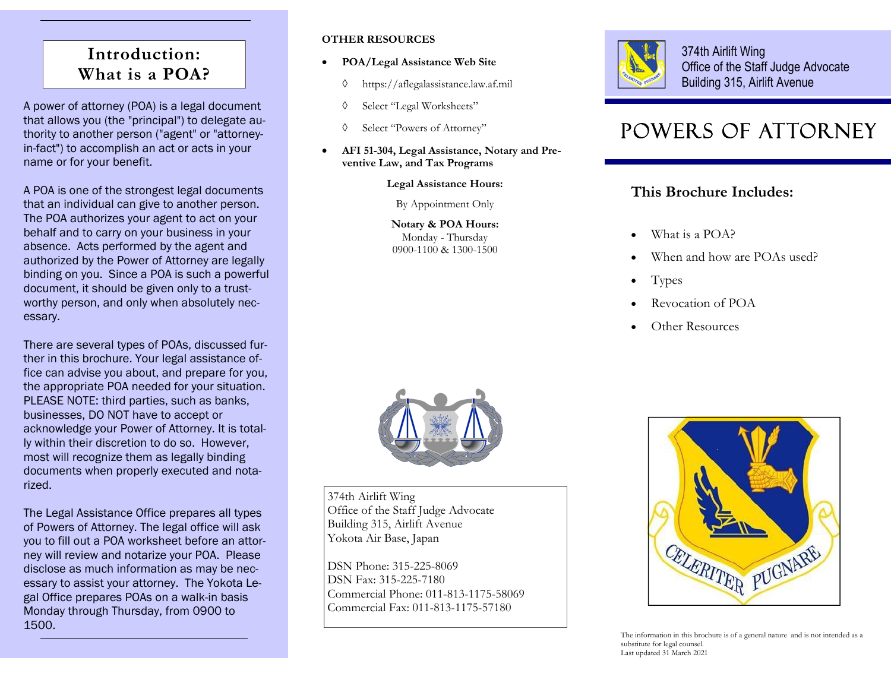## **Introduction: What is a POA?**

A power of attorney (POA) is a legal document that allows you (the "principal") to delegate authority to another person ("agent" or "attorneyin-fact") to accomplish an act or acts in your name or for your benefit.

A POA is one of the strongest legal documents that an individual can give to another person. The POA authorizes your agent to act on your behalf and to carry on your business in your absence. Acts performed by the agent and authorized by the Power of Attorney are legally binding on you. Since a POA is such a powerful document, it should be given only to a trustworthy person, and only when absolutely necessary.

There are several types of POAs, discussed further in this brochure. Your legal assistance office can advise you about, and prepare for you, the appropriate POA needed for your situation. PLEASE NOTE: third parties, such as banks, businesses, DO NOT have to accept or acknowledge your Power of Attorney. It is totally within their discretion to do so. However, most will recognize them as legally binding documents when properly executed and notarized.

The Legal Assistance Office prepares all types of Powers of Attorney. The legal office will ask you to fill out a POA worksheet before an attorney will review and notarize your POA. Please disclose as much information as may be necessary to assist your attorney. The Yokota Legal Office prepares POAs on a walk-in basis Monday through Thursday, from 0900 to 1500.

### **OTHER RESOURCES**

- $\bullet$  **POA/Legal Assistance Web Site**
	- $\Diamond$ https://aflegalassistance.law.af.mil
	- ♦ Select "Legal Worksheets"
	- $\Diamond$ Select "Powers of Attorney"
- $\bullet$  **AFI 51-304, Legal Assistance, Notary and Preventive Law, and Tax Programs**

**Legal Assistance Hours:** 

By Appointment Only

**Notary & POA Hours:**  Monday - Thursday 0900-1100 & 1300-1500



374th Airlift Wing Office of the Staff Judge Advocate Building 315, Airlift Avenue

# POWERS OF ATTORNEY

### **This Brochure Includes:**

- $\bullet$ What is a POA?
- $\bullet$ When and how are POAs used?
- $\bullet$ Types
- $\bullet$ Revocation of POA
- $\bullet$ Other Resources



374th Airlift Wing Office of the Staff Judge Advocate Building 315, Airlift Avenue Yokota Air Base, Japan

DSN Phone: 315-225-8069 DSN Fax: 315-225-7180 Commercial Phone: 011-813-1175-58069 Commercial Fax: 011-813-1175-57180



The information in this brochure is of a general nature and is not intended as a substitute for legal counsel. Last updated 31 March 2021